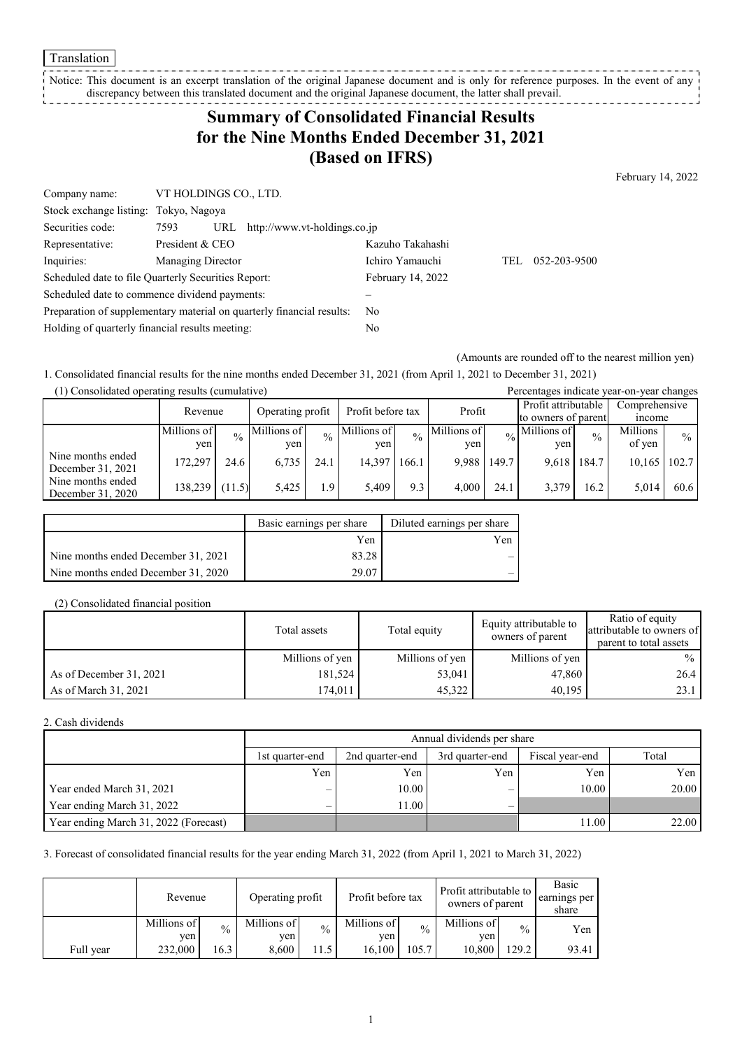#### Translation

Notice: This document is an excerpt translation of the original Japanese document and is only for reference purposes. In the event of any discrepancy between this translated document and the original Japanese document, the latter shall prevail.

# **Summary of Consolidated Financial Results for the Nine Months Ended December 31, 2021 (Based on IFRS)**

February 14, 2022

| Company name:                                       | VT HOLDINGS CO., LTD. |                                                                       |                   |     |              |
|-----------------------------------------------------|-----------------------|-----------------------------------------------------------------------|-------------------|-----|--------------|
| Stock exchange listing: Tokyo, Nagoya               |                       |                                                                       |                   |     |              |
| Securities code:                                    | 7593                  | URL $http://www.vt-holdings.co.jp$                                    |                   |     |              |
| Representative:                                     | President & CEO       |                                                                       | Kazuho Takahashi  |     |              |
| Inquiries:                                          | Managing Director     |                                                                       | Ichiro Yamauchi   | TEL | 052-203-9500 |
| Scheduled date to file Quarterly Securities Report: |                       |                                                                       | February 14, 2022 |     |              |
| Scheduled date to commence dividend payments:       |                       |                                                                       |                   |     |              |
|                                                     |                       | Preparation of supplementary material on quarterly financial results: | N <sub>0</sub>    |     |              |
| Holding of quarterly financial results meeting:     |                       |                                                                       | No                |     |              |

(Amounts are rounded off to the nearest million yen)

1. Consolidated financial results for the nine months ended December 31, 2021 (from April 1, 2021 to December 31, 2021)

| (1) Consolidated operating results (cumulative) |             |               |                                       |               |             |               |             | Percentages indicate year-on-year changes |                            |                     |               |               |
|-------------------------------------------------|-------------|---------------|---------------------------------------|---------------|-------------|---------------|-------------|-------------------------------------------|----------------------------|---------------------|---------------|---------------|
|                                                 | Revenue     |               | Profit before tax<br>Operating profit |               |             | Profit        |             | Profit attributable                       |                            | Comprehensive       |               |               |
|                                                 |             |               |                                       |               |             |               |             |                                           |                            | to owners of parent | <i>n</i> come |               |
|                                                 | Millions of | $\frac{0}{0}$ | Millions of                           | $\frac{0}{0}$ | Millions of | $\frac{0}{0}$ | Millions of |                                           | $\frac{1}{20}$ Millions of | $\frac{0}{0}$       | Millions      | $\frac{0}{0}$ |
|                                                 | yen<br>ven  | ven<br>ven    |                                       |               |             |               | ven         |                                           | of yen                     |                     |               |               |
| Nine months ended<br>December 31, 2021          | 172.297     | 24.6          | 6,735                                 | 24.1          | 14.397      | 166.1         | 9.988       | 149.7                                     | 9.618 184.7                |                     | 10,165        | 102.7         |
| Nine months ended<br>December 31, 2020          | 138,239     | (11.5)        | 5.425                                 | 1.9           | 5.409       | 9.3           | 4.000       | 24.1                                      | 3.379                      | 16.2                | 5,014         | 60.6          |

|                                     | Basic earnings per share | Diluted earnings per share |
|-------------------------------------|--------------------------|----------------------------|
|                                     | Yen                      | Yen                        |
| Nine months ended December 31, 2021 | 83.28                    |                            |
| Nine months ended December 31, 2020 | 29.07                    |                            |

#### (2) Consolidated financial position

|                         | Total assets    | Total equity    | Equity attributable to<br>owners of parent | Ratio of equity<br>attributable to owners of<br>parent to total assets |
|-------------------------|-----------------|-----------------|--------------------------------------------|------------------------------------------------------------------------|
|                         | Millions of yen | Millions of yen | Millions of yen                            | $\frac{0}{0}$                                                          |
| As of December 31, 2021 | 181,524         | 53,041          | 47,860                                     | 26.4                                                                   |
| As of March 31, 2021    | 174,011         | 45,322          | 40.195                                     | 23.1                                                                   |

#### 2. Cash dividends

|                                       |                          | Annual dividends per share |                 |                 |       |  |  |  |  |
|---------------------------------------|--------------------------|----------------------------|-----------------|-----------------|-------|--|--|--|--|
|                                       | 1st quarter-end          | 2nd quarter-end            | 3rd quarter-end | Fiscal year-end | Total |  |  |  |  |
|                                       | Yen                      | Yen                        | Yen             | Yen             | Yen   |  |  |  |  |
| Year ended March 31, 2021             | $\overline{\phantom{0}}$ | 10.00                      | _               | 10.00           | 20.00 |  |  |  |  |
| Year ending March 31, 2022            | $\overline{\phantom{m}}$ | 1.00                       | _               |                 |       |  |  |  |  |
| Year ending March 31, 2022 (Forecast) |                          |                            |                 | 11.00           | 22.00 |  |  |  |  |

3. Forecast of consolidated financial results for the year ending March 31, 2022 (from April 1, 2021 to March 31, 2022)

|           | Revenue            |               | Operating profit   |               | Profit before tax  |               | Profit attributable to<br>owners of parent |               | Basic<br>earnings per<br>share |
|-----------|--------------------|---------------|--------------------|---------------|--------------------|---------------|--------------------------------------------|---------------|--------------------------------|
|           | Millions of<br>ven | $\frac{0}{0}$ | Millions of<br>ven | $\frac{0}{0}$ | Millions of<br>yen | $\frac{0}{0}$ | Millions of<br>ven                         | $\frac{0}{0}$ | Yen                            |
| Full year | 232,000            | 16.3          | 8,600              | 1.5           | 16.100             | 105.7         | 10.800                                     | 29.2          | 93.41                          |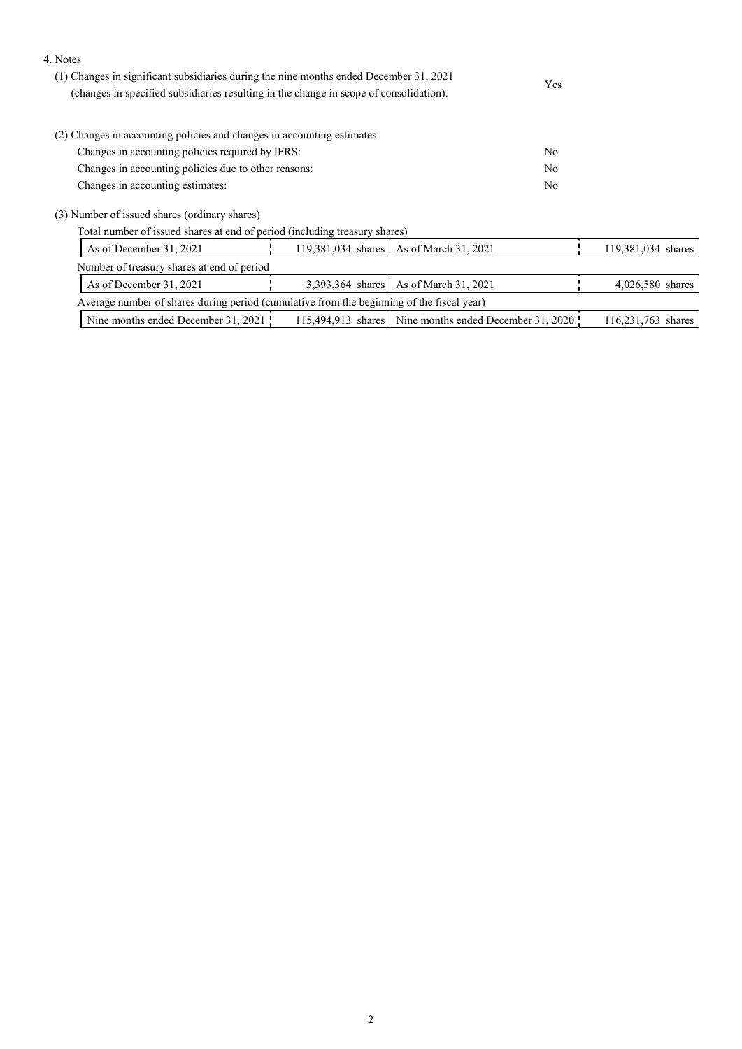### 4. Notes

| (1) Changes in significant subsidiaries during the nine months ended December 31, 2021<br>(changes in specified subsidiaries resulting in the change in scope of consolidation): | <b>Yes</b> |
|----------------------------------------------------------------------------------------------------------------------------------------------------------------------------------|------------|
| (2) Changes in accounting policies and changes in accounting estimates                                                                                                           |            |
| Changes in accounting policies required by IFRS:                                                                                                                                 | No         |
| Changes in accounting policies due to other reasons:                                                                                                                             | No         |
| Changes in accounting estimates:                                                                                                                                                 | No         |
| (3) Number of issued shares (ordinary shares)                                                                                                                                    |            |

Total number of issued shares at end of period (including treasury shares)

|                                                                                           | As of December 31, 2021                    |  |  | 119,381,034 shares   As of March 31, 2021                |  | 119,381,034 shares |
|-------------------------------------------------------------------------------------------|--------------------------------------------|--|--|----------------------------------------------------------|--|--------------------|
|                                                                                           | Number of treasury shares at end of period |  |  |                                                          |  |                    |
|                                                                                           | As of December $31, 2021$                  |  |  | 3,393,364 shares   As of March 31, 2021                  |  | 4,026,580 shares   |
| Average number of shares during period (cumulative from the beginning of the fiscal year) |                                            |  |  |                                                          |  |                    |
|                                                                                           | Nine months ended December 31, 2021        |  |  | 115,494,913 shares   Nine months ended December 31, 2020 |  | 116,231,763 shares |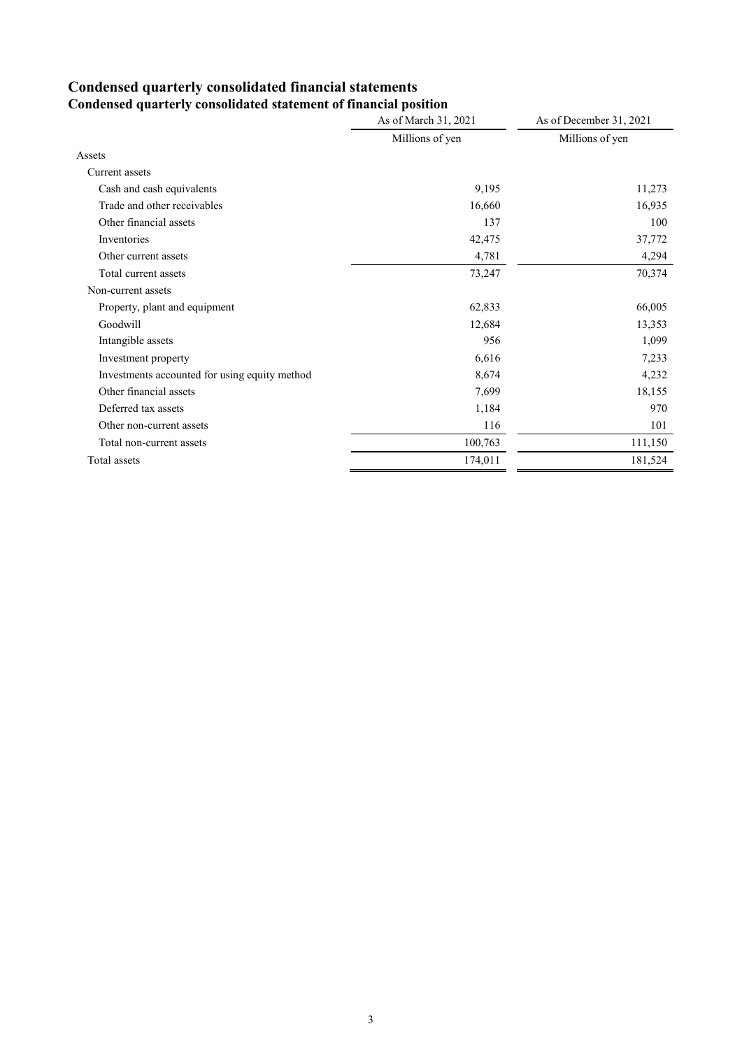### **Condensed quarterly consolidated financial statements Condensed quarterly consolidated statement of financial position**

|                                               | As of March 31, 2021 | As of December 31, 2021 |
|-----------------------------------------------|----------------------|-------------------------|
|                                               | Millions of yen      | Millions of yen         |
| Assets                                        |                      |                         |
| Current assets                                |                      |                         |
| Cash and cash equivalents                     | 9,195                | 11,273                  |
| Trade and other receivables                   | 16,660               | 16,935                  |
| Other financial assets                        | 137                  | 100                     |
| Inventories                                   | 42,475               | 37,772                  |
| Other current assets                          | 4,781                | 4,294                   |
| Total current assets                          | 73,247               | 70,374                  |
| Non-current assets                            |                      |                         |
| Property, plant and equipment                 | 62,833               | 66,005                  |
| Goodwill                                      | 12,684               | 13,353                  |
| Intangible assets                             | 956                  | 1,099                   |
| Investment property                           | 6,616                | 7,233                   |
| Investments accounted for using equity method | 8,674                | 4,232                   |
| Other financial assets                        | 7,699                | 18,155                  |
| Deferred tax assets                           | 1,184                | 970                     |
| Other non-current assets                      | 116                  | 101                     |
| Total non-current assets                      | 100,763              | 111,150                 |
| Total assets                                  | 174,011              | 181,524                 |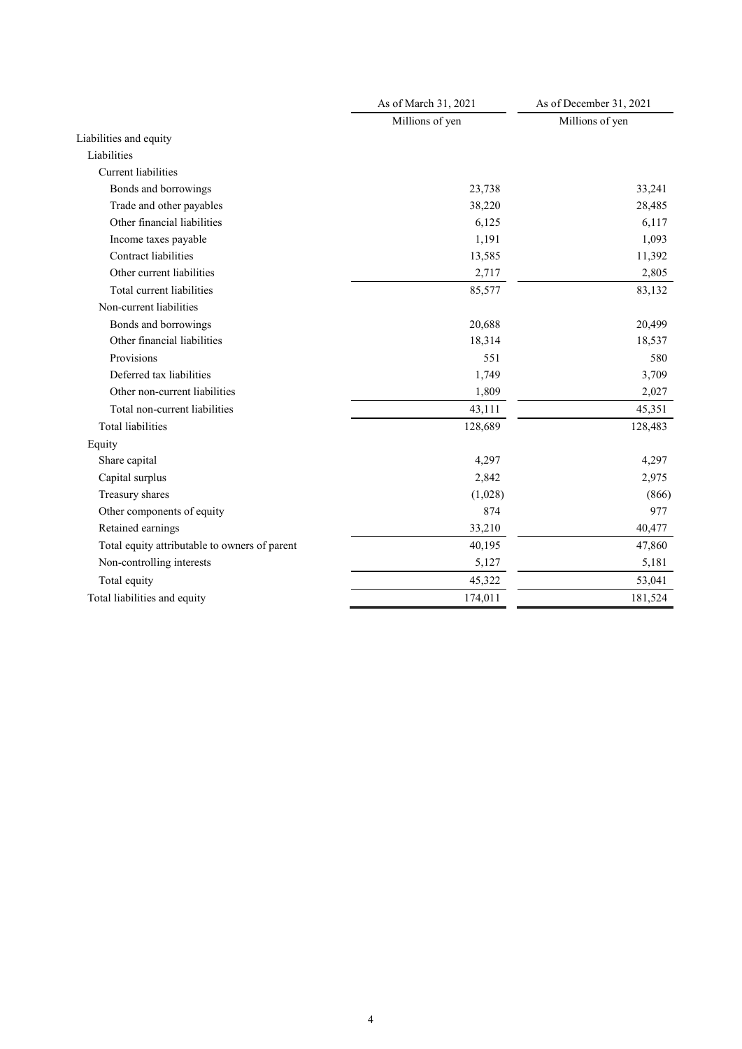|                                               | As of March 31, 2021 | As of December 31, 2021 |  |
|-----------------------------------------------|----------------------|-------------------------|--|
|                                               | Millions of yen      | Millions of yen         |  |
| Liabilities and equity                        |                      |                         |  |
| Liabilities                                   |                      |                         |  |
| <b>Current</b> liabilities                    |                      |                         |  |
| Bonds and borrowings                          | 23,738               | 33,241                  |  |
| Trade and other payables                      | 38,220               | 28,485                  |  |
| Other financial liabilities                   | 6,125                | 6,117                   |  |
| Income taxes payable                          | 1,191                | 1,093                   |  |
| Contract liabilities                          | 13,585               | 11,392                  |  |
| Other current liabilities                     | 2,717                | 2,805                   |  |
| Total current liabilities                     | 85,577               | 83,132                  |  |
| Non-current liabilities                       |                      |                         |  |
| Bonds and borrowings                          | 20,688               | 20,499                  |  |
| Other financial liabilities                   | 18,314               | 18,537                  |  |
| Provisions                                    | 551                  | 580                     |  |
| Deferred tax liabilities                      | 1,749                | 3,709                   |  |
| Other non-current liabilities                 | 1,809                | 2,027                   |  |
| Total non-current liabilities                 | 43,111               | 45,351                  |  |
| <b>Total liabilities</b>                      | 128,689              | 128,483                 |  |
| Equity                                        |                      |                         |  |
| Share capital                                 | 4,297                | 4,297                   |  |
| Capital surplus                               | 2,842                | 2,975                   |  |
| Treasury shares                               | (1,028)              | (866)                   |  |
| Other components of equity                    | 874                  | 977                     |  |
| Retained earnings                             | 33,210               | 40,477                  |  |
| Total equity attributable to owners of parent | 40,195               | 47,860                  |  |
| Non-controlling interests                     | 5,127                | 5,181                   |  |
| Total equity                                  | 45,322               | 53,041                  |  |
| Total liabilities and equity                  | 174,011              | 181,524                 |  |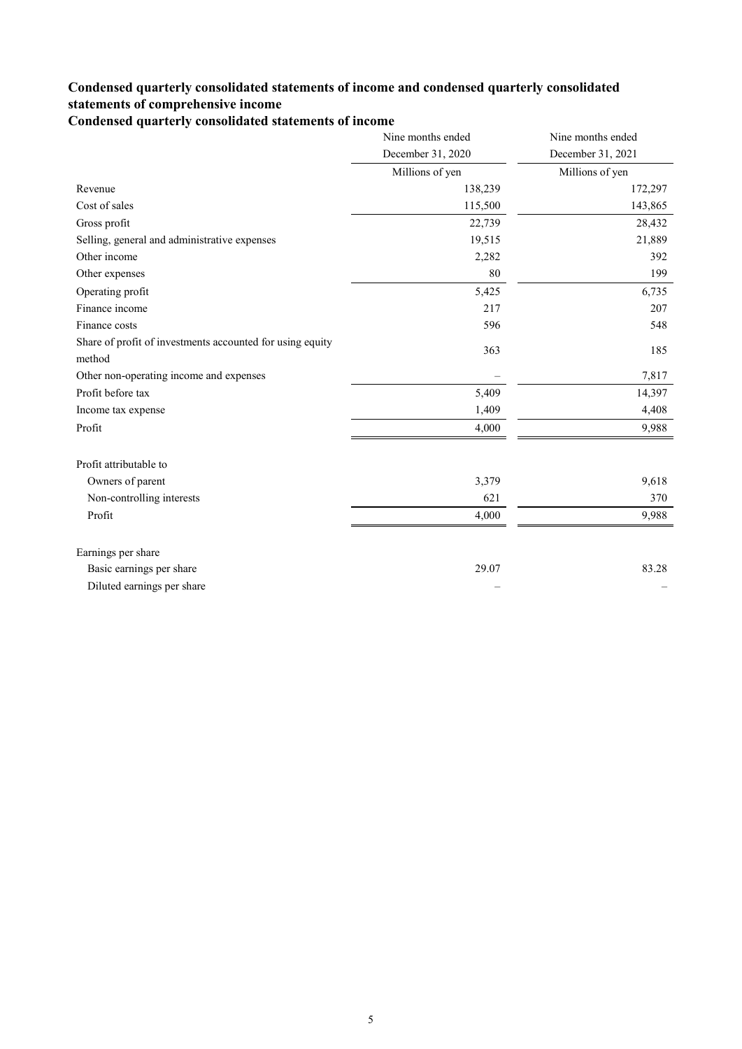### **Condensed quarterly consolidated statements of income and condensed quarterly consolidated statements of comprehensive income**

**Condensed quarterly consolidated statements of income**

|                                                           | Nine months ended | Nine months ended |
|-----------------------------------------------------------|-------------------|-------------------|
|                                                           | December 31, 2020 | December 31, 2021 |
|                                                           | Millions of yen   | Millions of yen   |
| Revenue                                                   | 138,239           | 172,297           |
| Cost of sales                                             | 115,500           | 143,865           |
| Gross profit                                              | 22,739            | 28,432            |
| Selling, general and administrative expenses              | 19,515            | 21,889            |
| Other income                                              | 2,282             | 392               |
| Other expenses                                            | 80                | 199               |
| Operating profit                                          | 5,425             | 6,735             |
| Finance income                                            | 217               | 207               |
| Finance costs                                             | 596               | 548               |
| Share of profit of investments accounted for using equity | 363               | 185               |
| method                                                    |                   |                   |
| Other non-operating income and expenses                   |                   | 7,817             |
| Profit before tax                                         | 5,409             | 14,397            |
| Income tax expense                                        | 1,409             | 4,408             |
| Profit                                                    | 4,000             | 9,988             |
| Profit attributable to                                    |                   |                   |
| Owners of parent                                          | 3,379             | 9,618             |
| Non-controlling interests                                 | 621               | 370               |
| Profit                                                    | 4,000             | 9,988             |
| Earnings per share                                        |                   |                   |
| Basic earnings per share                                  | 29.07             | 83.28             |
| Diluted earnings per share                                |                   |                   |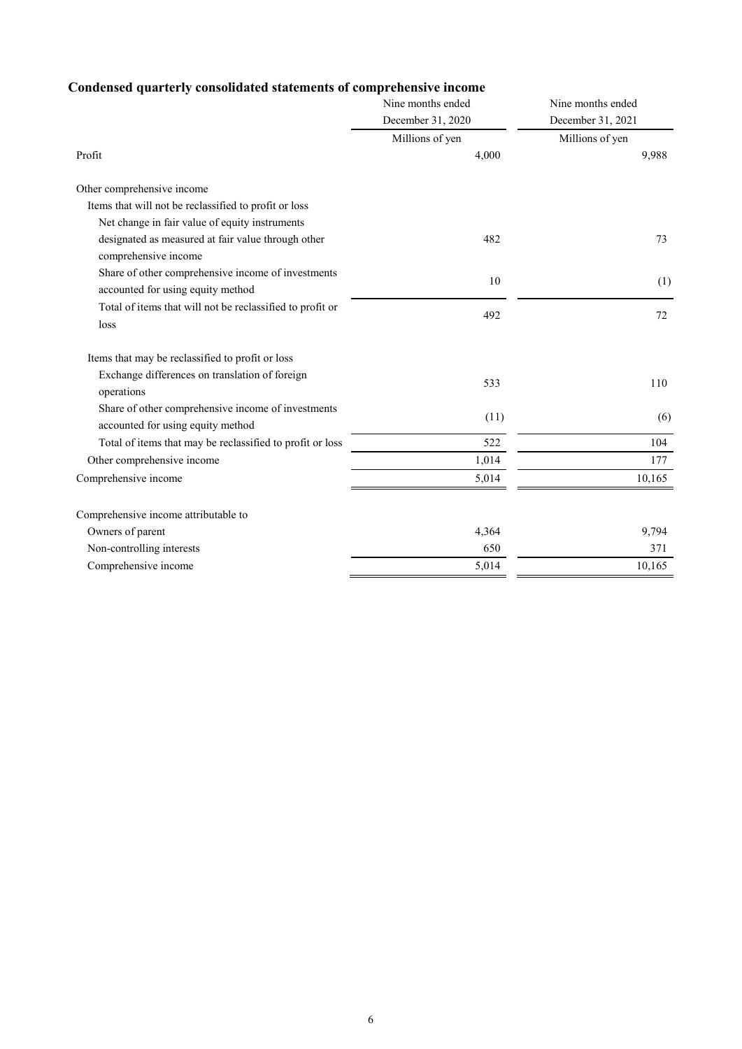## **Condensed quarterly consolidated statements of comprehensive income**

|                                                                                         | Nine months ended | Nine months ended |
|-----------------------------------------------------------------------------------------|-------------------|-------------------|
|                                                                                         | December 31, 2020 | December 31, 2021 |
|                                                                                         | Millions of yen   | Millions of yen   |
| Profit                                                                                  | 4,000             | 9,988             |
| Other comprehensive income                                                              |                   |                   |
| Items that will not be reclassified to profit or loss                                   |                   |                   |
| Net change in fair value of equity instruments                                          |                   |                   |
| designated as measured at fair value through other<br>comprehensive income              | 482               | 73                |
| Share of other comprehensive income of investments<br>accounted for using equity method | 10                | (1)               |
| Total of items that will not be reclassified to profit or                               | 492               | 72                |
| loss                                                                                    |                   |                   |
| Items that may be reclassified to profit or loss                                        |                   |                   |
| Exchange differences on translation of foreign<br>operations                            | 533               | 110               |
| Share of other comprehensive income of investments<br>accounted for using equity method | (11)              | (6)               |
| Total of items that may be reclassified to profit or loss                               | 522               | 104               |
| Other comprehensive income                                                              | 1,014             | 177               |
| Comprehensive income                                                                    | 5,014             | 10,165            |
| Comprehensive income attributable to                                                    |                   |                   |
| Owners of parent                                                                        | 4,364             | 9,794             |
| Non-controlling interests                                                               | 650               | 371               |
| Comprehensive income                                                                    | 5,014             | 10,165            |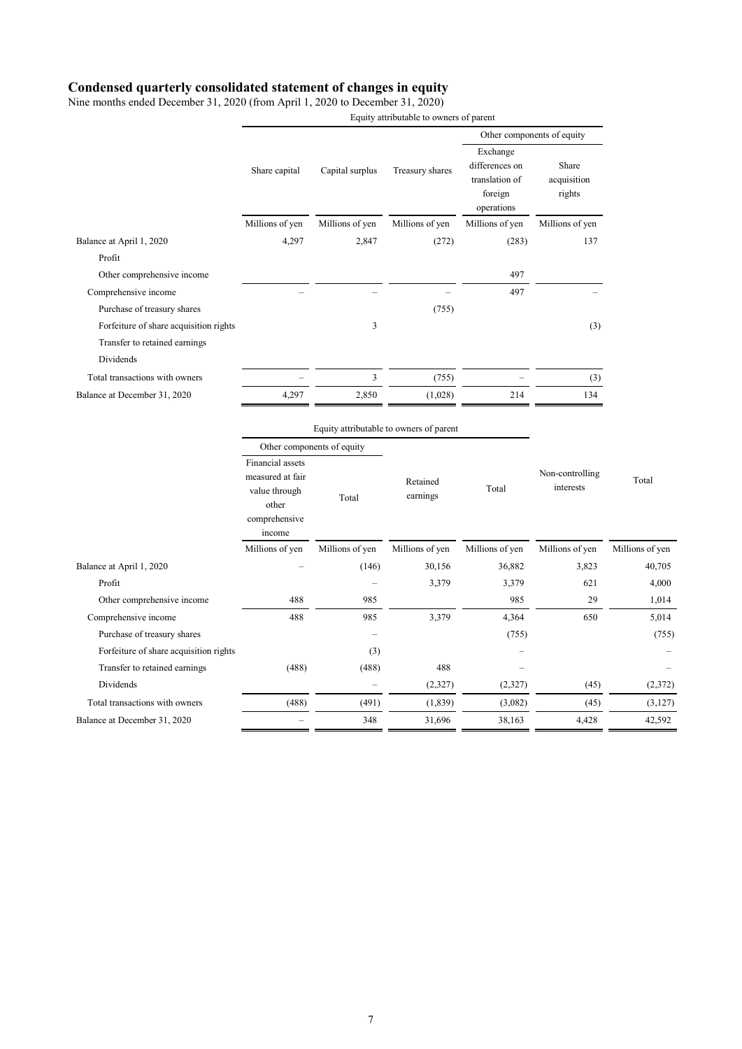### **Condensed quarterly consolidated statement of changes in equity**

Nine months ended December 31, 2020 (from April 1, 2020 to December 31, 2020)

 Equity attributable to owners of parent Share capital Capital surplus Treasury shares Other components of equity Exchange differences on translation of foreign operations acquisition Millions of yen Millions of yen Millions of yen Millions of yen Millions of yen Profit **Profit** 

| Balance at April 1, 2020               | 4,297                                                                                     | 2,847           | (272)                                   | (283)           | 137                          |                 |
|----------------------------------------|-------------------------------------------------------------------------------------------|-----------------|-----------------------------------------|-----------------|------------------------------|-----------------|
| Profit                                 |                                                                                           |                 |                                         |                 |                              |                 |
| Other comprehensive income             |                                                                                           |                 |                                         | 497             |                              |                 |
| Comprehensive income                   |                                                                                           |                 |                                         | 497             |                              |                 |
| Purchase of treasury shares            |                                                                                           |                 | (755)                                   |                 |                              |                 |
| Forfeiture of share acquisition rights |                                                                                           | 3               |                                         |                 | (3)                          |                 |
| Transfer to retained earnings          |                                                                                           |                 |                                         |                 |                              |                 |
| Dividends                              |                                                                                           |                 |                                         |                 |                              |                 |
| Total transactions with owners         |                                                                                           | 3               | (755)                                   |                 | (3)                          |                 |
| Balance at December 31, 2020           | 4,297                                                                                     | 2,850           | (1,028)                                 | 214             | 134                          |                 |
|                                        |                                                                                           |                 | Equity attributable to owners of parent |                 |                              |                 |
|                                        | Other components of equity                                                                |                 |                                         |                 |                              |                 |
|                                        | Financial assets<br>measured at fair<br>value through<br>other<br>comprehensive<br>income | Total           | Retained<br>earnings                    | Total           | Non-controlling<br>interests | Total           |
|                                        | Millions of yen                                                                           | Millions of yen | Millions of yen                         | Millions of yen | Millions of yen              | Millions of yen |
| Balance at April 1, 2020               |                                                                                           | (146)           | 30,156                                  | 36,882          | 3,823                        | 40,705          |
| Profit                                 |                                                                                           | -               | 3,379                                   | 3,379           | 621                          | 4,000           |

Other comprehensive income 488 985 985 985 29 1,014 Comprehensive income 488 488 985 3,379 4,364 650 5,014 Purchase of treasury shares (755) (755) (755) (755) Forfeiture of share acquisition rights (3) – –

Dividends – (2,327) (2,327) (45) (2,372) Total transactions with owners (488) (491) (1,839) (3,082) (45) (3,127) Balance at December 31, 2020 – 348 31,696 38,163 4,428 42,592

Transfer to retained earnings (488) (488) 488 –

Share

rights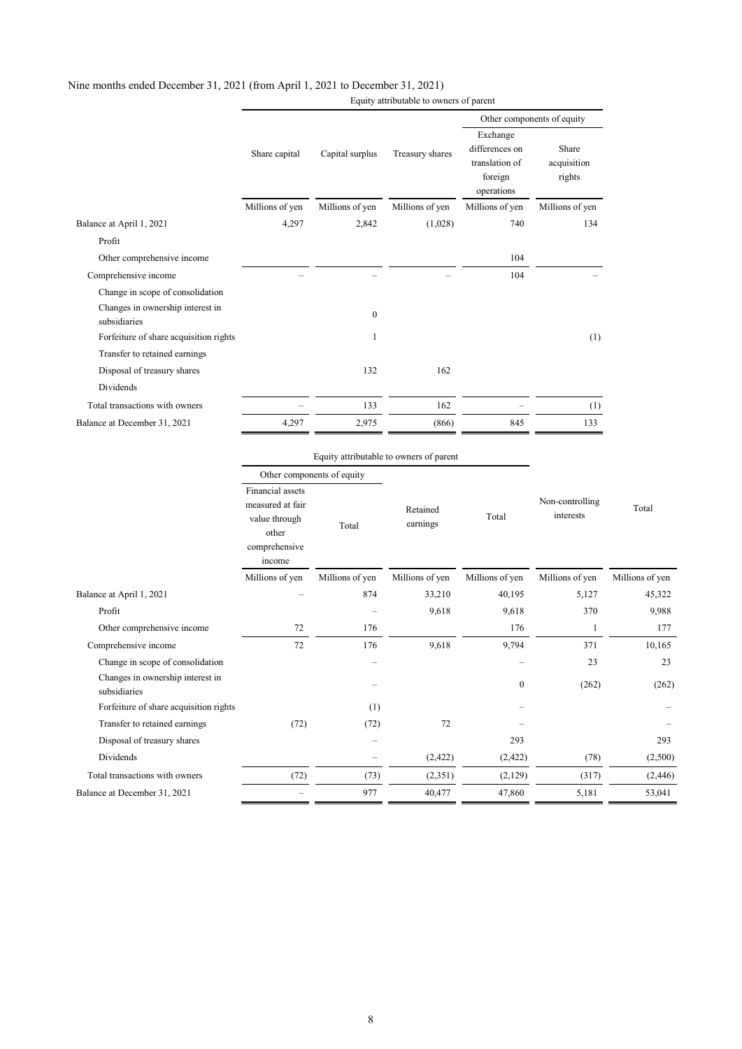### Nine months ended December 31, 2021 (from April 1, 2021 to December 31, 2021)

Equity attributable to owners of parent

|                                                  |                 |                 |                 | Other components of equity                                            |                                |  |
|--------------------------------------------------|-----------------|-----------------|-----------------|-----------------------------------------------------------------------|--------------------------------|--|
|                                                  | Share capital   | Capital surplus | Treasury shares | Exchange<br>differences on<br>translation of<br>foreign<br>operations | Share<br>acquisition<br>rights |  |
|                                                  | Millions of yen | Millions of yen | Millions of yen | Millions of yen                                                       | Millions of yen                |  |
| Balance at April 1, 2021                         | 4,297           | 2,842           | (1,028)         | 740                                                                   | 134                            |  |
| Profit                                           |                 |                 |                 |                                                                       |                                |  |
| Other comprehensive income                       |                 |                 |                 | 104                                                                   |                                |  |
| Comprehensive income                             |                 |                 |                 | 104                                                                   |                                |  |
| Change in scope of consolidation                 |                 |                 |                 |                                                                       |                                |  |
| Changes in ownership interest in<br>subsidiaries |                 | $\mathbf{0}$    |                 |                                                                       |                                |  |
| Forfeiture of share acquisition rights           |                 | 1               |                 |                                                                       | (1)                            |  |
| Transfer to retained earnings                    |                 |                 |                 |                                                                       |                                |  |
| Disposal of treasury shares                      |                 | 132             | 162             |                                                                       |                                |  |
| Dividends                                        |                 |                 |                 |                                                                       |                                |  |
| Total transactions with owners                   |                 | 133             | 162             |                                                                       | (1)                            |  |
| Balance at December 31, 2021                     | 4,297           | 2,975           | (866)           | 845                                                                   | 133                            |  |
|                                                  |                 |                 |                 |                                                                       |                                |  |

### Equity attributable to owners of parent

|                                                  | Other components of equity<br>Financial assets<br>measured at fair<br>value through<br>Total<br>other<br>comprehensive<br>income |                          |                      | Total                    | Non-controlling<br>interests |                 |
|--------------------------------------------------|----------------------------------------------------------------------------------------------------------------------------------|--------------------------|----------------------|--------------------------|------------------------------|-----------------|
|                                                  |                                                                                                                                  |                          | Retained<br>earnings |                          |                              | Total           |
|                                                  | Millions of yen                                                                                                                  | Millions of yen          | Millions of yen      | Millions of yen          | Millions of yen              | Millions of yen |
| Balance at April 1, 2021                         |                                                                                                                                  | 874                      | 33,210               | 40,195                   | 5,127                        | 45,322          |
| Profit                                           |                                                                                                                                  |                          | 9,618                | 9,618                    | 370                          | 9,988           |
| Other comprehensive income                       | 72                                                                                                                               | 176                      |                      | 176                      | 1                            | 177             |
| Comprehensive income                             | 72                                                                                                                               | 176                      | 9,618                | 9,794                    | 371                          | 10,165          |
| Change in scope of consolidation                 |                                                                                                                                  |                          |                      | $\overline{\phantom{0}}$ | 23                           | 23              |
| Changes in ownership interest in<br>subsidiaries |                                                                                                                                  |                          |                      | $\mathbf{0}$             | (262)                        | (262)           |
| Forfeiture of share acquisition rights           |                                                                                                                                  | (1)                      |                      |                          |                              |                 |
| Transfer to retained earnings                    | (72)                                                                                                                             | (72)                     | 72                   |                          |                              |                 |
| Disposal of treasury shares                      |                                                                                                                                  | $\overline{\phantom{m}}$ |                      | 293                      |                              | 293             |
| Dividends                                        |                                                                                                                                  |                          | (2, 422)             | (2,422)                  | (78)                         | (2,500)         |
| Total transactions with owners                   | (72)                                                                                                                             | (73)                     | (2,351)              | (2,129)                  | (317)                        | (2, 446)        |
| Balance at December 31, 2021                     |                                                                                                                                  | 977                      | 40,477               | 47,860                   | 5,181                        | 53,041          |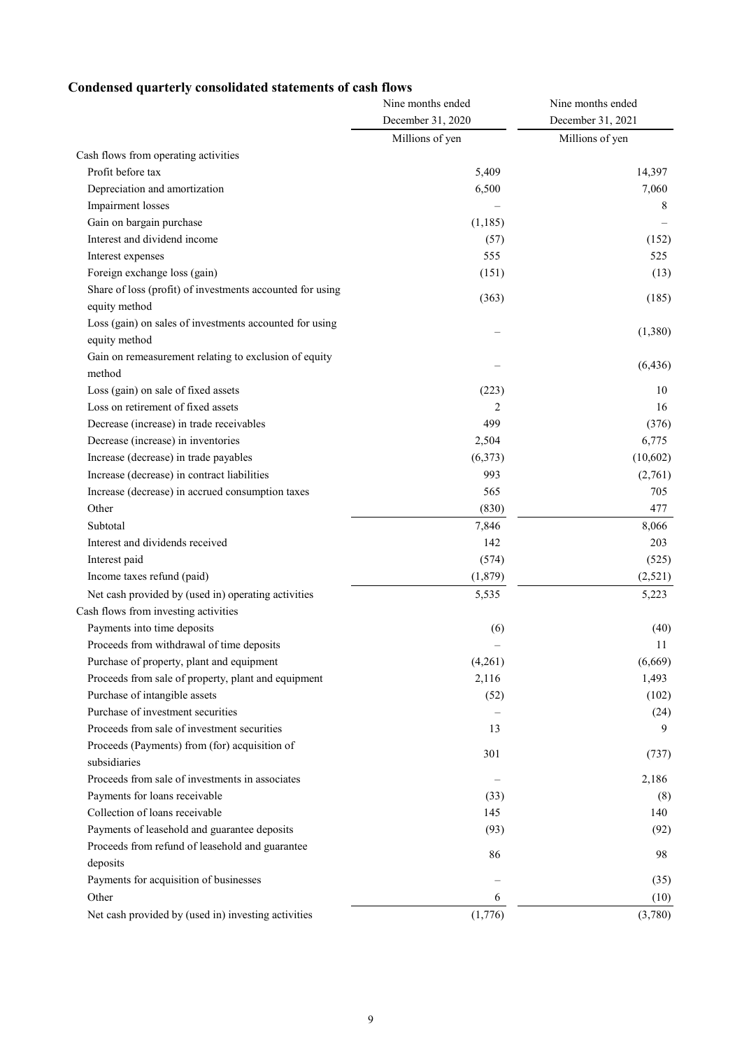## **Condensed quarterly consolidated statements of cash flows**

| December 31, 2020<br>December 31, 2021<br>Millions of yen<br>Millions of yen<br>Cash flows from operating activities<br>Profit before tax<br>5,409<br>14,397<br>7,060<br>Depreciation and amortization<br>6,500<br>Impairment losses<br>8<br>Gain on bargain purchase<br>(1, 185)<br>Interest and dividend income<br>(57)<br>(152)<br>555<br>525<br>Interest expenses<br>Foreign exchange loss (gain)<br>(151)<br>(13)<br>Share of loss (profit) of investments accounted for using<br>(363)<br>(185)<br>equity method<br>Loss (gain) on sales of investments accounted for using<br>(1,380)<br>equity method<br>Gain on remeasurement relating to exclusion of equity<br>(6, 436)<br>method<br>Loss (gain) on sale of fixed assets<br>(223)<br>10<br>Loss on retirement of fixed assets<br>2<br>16<br>Decrease (increase) in trade receivables<br>499<br>(376)<br>Decrease (increase) in inventories<br>2,504<br>6,775<br>Increase (decrease) in trade payables<br>(6,373)<br>(10,602)<br>993<br>Increase (decrease) in contract liabilities<br>(2,761)<br>565<br>Increase (decrease) in accrued consumption taxes<br>705<br>Other<br>(830)<br>477<br>Subtotal<br>7,846<br>8,066<br>Interest and dividends received<br>142<br>203<br>Interest paid<br>(574)<br>(525)<br>Income taxes refund (paid)<br>(1, 879)<br>(2,521)<br>Net cash provided by (used in) operating activities<br>5,535<br>5,223<br>Cash flows from investing activities<br>Payments into time deposits<br>(6)<br>(40)<br>Proceeds from withdrawal of time deposits<br>11<br>Purchase of property, plant and equipment<br>(4,261)<br>(6,669)<br>2,116<br>1,493<br>Proceeds from sale of property, plant and equipment<br>Purchase of intangible assets<br>(52)<br>(102)<br>Purchase of investment securities<br>(24)<br>Proceeds from sale of investment securities<br>13<br>9<br>Proceeds (Payments) from (for) acquisition of<br>301<br>(737)<br>subsidiaries<br>Proceeds from sale of investments in associates<br>2,186<br>Payments for loans receivable<br>(33)<br>(8)<br>Collection of loans receivable<br>145<br>140<br>Payments of leasehold and guarantee deposits<br>(93)<br>(92)<br>Proceeds from refund of leasehold and guarantee<br>86<br>98<br>deposits<br>Payments for acquisition of businesses<br>(35)<br>Other<br>6<br>(10)<br>(1,776)<br>Net cash provided by (used in) investing activities<br>(3,780) | Nine months ended | Nine months ended |  |
|------------------------------------------------------------------------------------------------------------------------------------------------------------------------------------------------------------------------------------------------------------------------------------------------------------------------------------------------------------------------------------------------------------------------------------------------------------------------------------------------------------------------------------------------------------------------------------------------------------------------------------------------------------------------------------------------------------------------------------------------------------------------------------------------------------------------------------------------------------------------------------------------------------------------------------------------------------------------------------------------------------------------------------------------------------------------------------------------------------------------------------------------------------------------------------------------------------------------------------------------------------------------------------------------------------------------------------------------------------------------------------------------------------------------------------------------------------------------------------------------------------------------------------------------------------------------------------------------------------------------------------------------------------------------------------------------------------------------------------------------------------------------------------------------------------------------------------------------------------------------------------------------------------------------------------------------------------------------------------------------------------------------------------------------------------------------------------------------------------------------------------------------------------------------------------------------------------------------------------------------------------------------------------------------------------------------------------------------------------------------------------------------|-------------------|-------------------|--|
|                                                                                                                                                                                                                                                                                                                                                                                                                                                                                                                                                                                                                                                                                                                                                                                                                                                                                                                                                                                                                                                                                                                                                                                                                                                                                                                                                                                                                                                                                                                                                                                                                                                                                                                                                                                                                                                                                                                                                                                                                                                                                                                                                                                                                                                                                                                                                                                                |                   |                   |  |
|                                                                                                                                                                                                                                                                                                                                                                                                                                                                                                                                                                                                                                                                                                                                                                                                                                                                                                                                                                                                                                                                                                                                                                                                                                                                                                                                                                                                                                                                                                                                                                                                                                                                                                                                                                                                                                                                                                                                                                                                                                                                                                                                                                                                                                                                                                                                                                                                |                   |                   |  |
|                                                                                                                                                                                                                                                                                                                                                                                                                                                                                                                                                                                                                                                                                                                                                                                                                                                                                                                                                                                                                                                                                                                                                                                                                                                                                                                                                                                                                                                                                                                                                                                                                                                                                                                                                                                                                                                                                                                                                                                                                                                                                                                                                                                                                                                                                                                                                                                                |                   |                   |  |
|                                                                                                                                                                                                                                                                                                                                                                                                                                                                                                                                                                                                                                                                                                                                                                                                                                                                                                                                                                                                                                                                                                                                                                                                                                                                                                                                                                                                                                                                                                                                                                                                                                                                                                                                                                                                                                                                                                                                                                                                                                                                                                                                                                                                                                                                                                                                                                                                |                   |                   |  |
|                                                                                                                                                                                                                                                                                                                                                                                                                                                                                                                                                                                                                                                                                                                                                                                                                                                                                                                                                                                                                                                                                                                                                                                                                                                                                                                                                                                                                                                                                                                                                                                                                                                                                                                                                                                                                                                                                                                                                                                                                                                                                                                                                                                                                                                                                                                                                                                                |                   |                   |  |
|                                                                                                                                                                                                                                                                                                                                                                                                                                                                                                                                                                                                                                                                                                                                                                                                                                                                                                                                                                                                                                                                                                                                                                                                                                                                                                                                                                                                                                                                                                                                                                                                                                                                                                                                                                                                                                                                                                                                                                                                                                                                                                                                                                                                                                                                                                                                                                                                |                   |                   |  |
|                                                                                                                                                                                                                                                                                                                                                                                                                                                                                                                                                                                                                                                                                                                                                                                                                                                                                                                                                                                                                                                                                                                                                                                                                                                                                                                                                                                                                                                                                                                                                                                                                                                                                                                                                                                                                                                                                                                                                                                                                                                                                                                                                                                                                                                                                                                                                                                                |                   |                   |  |
|                                                                                                                                                                                                                                                                                                                                                                                                                                                                                                                                                                                                                                                                                                                                                                                                                                                                                                                                                                                                                                                                                                                                                                                                                                                                                                                                                                                                                                                                                                                                                                                                                                                                                                                                                                                                                                                                                                                                                                                                                                                                                                                                                                                                                                                                                                                                                                                                |                   |                   |  |
|                                                                                                                                                                                                                                                                                                                                                                                                                                                                                                                                                                                                                                                                                                                                                                                                                                                                                                                                                                                                                                                                                                                                                                                                                                                                                                                                                                                                                                                                                                                                                                                                                                                                                                                                                                                                                                                                                                                                                                                                                                                                                                                                                                                                                                                                                                                                                                                                |                   |                   |  |
|                                                                                                                                                                                                                                                                                                                                                                                                                                                                                                                                                                                                                                                                                                                                                                                                                                                                                                                                                                                                                                                                                                                                                                                                                                                                                                                                                                                                                                                                                                                                                                                                                                                                                                                                                                                                                                                                                                                                                                                                                                                                                                                                                                                                                                                                                                                                                                                                |                   |                   |  |
|                                                                                                                                                                                                                                                                                                                                                                                                                                                                                                                                                                                                                                                                                                                                                                                                                                                                                                                                                                                                                                                                                                                                                                                                                                                                                                                                                                                                                                                                                                                                                                                                                                                                                                                                                                                                                                                                                                                                                                                                                                                                                                                                                                                                                                                                                                                                                                                                |                   |                   |  |
|                                                                                                                                                                                                                                                                                                                                                                                                                                                                                                                                                                                                                                                                                                                                                                                                                                                                                                                                                                                                                                                                                                                                                                                                                                                                                                                                                                                                                                                                                                                                                                                                                                                                                                                                                                                                                                                                                                                                                                                                                                                                                                                                                                                                                                                                                                                                                                                                |                   |                   |  |
|                                                                                                                                                                                                                                                                                                                                                                                                                                                                                                                                                                                                                                                                                                                                                                                                                                                                                                                                                                                                                                                                                                                                                                                                                                                                                                                                                                                                                                                                                                                                                                                                                                                                                                                                                                                                                                                                                                                                                                                                                                                                                                                                                                                                                                                                                                                                                                                                |                   |                   |  |
|                                                                                                                                                                                                                                                                                                                                                                                                                                                                                                                                                                                                                                                                                                                                                                                                                                                                                                                                                                                                                                                                                                                                                                                                                                                                                                                                                                                                                                                                                                                                                                                                                                                                                                                                                                                                                                                                                                                                                                                                                                                                                                                                                                                                                                                                                                                                                                                                |                   |                   |  |
|                                                                                                                                                                                                                                                                                                                                                                                                                                                                                                                                                                                                                                                                                                                                                                                                                                                                                                                                                                                                                                                                                                                                                                                                                                                                                                                                                                                                                                                                                                                                                                                                                                                                                                                                                                                                                                                                                                                                                                                                                                                                                                                                                                                                                                                                                                                                                                                                |                   |                   |  |
|                                                                                                                                                                                                                                                                                                                                                                                                                                                                                                                                                                                                                                                                                                                                                                                                                                                                                                                                                                                                                                                                                                                                                                                                                                                                                                                                                                                                                                                                                                                                                                                                                                                                                                                                                                                                                                                                                                                                                                                                                                                                                                                                                                                                                                                                                                                                                                                                |                   |                   |  |
|                                                                                                                                                                                                                                                                                                                                                                                                                                                                                                                                                                                                                                                                                                                                                                                                                                                                                                                                                                                                                                                                                                                                                                                                                                                                                                                                                                                                                                                                                                                                                                                                                                                                                                                                                                                                                                                                                                                                                                                                                                                                                                                                                                                                                                                                                                                                                                                                |                   |                   |  |
|                                                                                                                                                                                                                                                                                                                                                                                                                                                                                                                                                                                                                                                                                                                                                                                                                                                                                                                                                                                                                                                                                                                                                                                                                                                                                                                                                                                                                                                                                                                                                                                                                                                                                                                                                                                                                                                                                                                                                                                                                                                                                                                                                                                                                                                                                                                                                                                                |                   |                   |  |
|                                                                                                                                                                                                                                                                                                                                                                                                                                                                                                                                                                                                                                                                                                                                                                                                                                                                                                                                                                                                                                                                                                                                                                                                                                                                                                                                                                                                                                                                                                                                                                                                                                                                                                                                                                                                                                                                                                                                                                                                                                                                                                                                                                                                                                                                                                                                                                                                |                   |                   |  |
|                                                                                                                                                                                                                                                                                                                                                                                                                                                                                                                                                                                                                                                                                                                                                                                                                                                                                                                                                                                                                                                                                                                                                                                                                                                                                                                                                                                                                                                                                                                                                                                                                                                                                                                                                                                                                                                                                                                                                                                                                                                                                                                                                                                                                                                                                                                                                                                                |                   |                   |  |
|                                                                                                                                                                                                                                                                                                                                                                                                                                                                                                                                                                                                                                                                                                                                                                                                                                                                                                                                                                                                                                                                                                                                                                                                                                                                                                                                                                                                                                                                                                                                                                                                                                                                                                                                                                                                                                                                                                                                                                                                                                                                                                                                                                                                                                                                                                                                                                                                |                   |                   |  |
|                                                                                                                                                                                                                                                                                                                                                                                                                                                                                                                                                                                                                                                                                                                                                                                                                                                                                                                                                                                                                                                                                                                                                                                                                                                                                                                                                                                                                                                                                                                                                                                                                                                                                                                                                                                                                                                                                                                                                                                                                                                                                                                                                                                                                                                                                                                                                                                                |                   |                   |  |
|                                                                                                                                                                                                                                                                                                                                                                                                                                                                                                                                                                                                                                                                                                                                                                                                                                                                                                                                                                                                                                                                                                                                                                                                                                                                                                                                                                                                                                                                                                                                                                                                                                                                                                                                                                                                                                                                                                                                                                                                                                                                                                                                                                                                                                                                                                                                                                                                |                   |                   |  |
|                                                                                                                                                                                                                                                                                                                                                                                                                                                                                                                                                                                                                                                                                                                                                                                                                                                                                                                                                                                                                                                                                                                                                                                                                                                                                                                                                                                                                                                                                                                                                                                                                                                                                                                                                                                                                                                                                                                                                                                                                                                                                                                                                                                                                                                                                                                                                                                                |                   |                   |  |
|                                                                                                                                                                                                                                                                                                                                                                                                                                                                                                                                                                                                                                                                                                                                                                                                                                                                                                                                                                                                                                                                                                                                                                                                                                                                                                                                                                                                                                                                                                                                                                                                                                                                                                                                                                                                                                                                                                                                                                                                                                                                                                                                                                                                                                                                                                                                                                                                |                   |                   |  |
|                                                                                                                                                                                                                                                                                                                                                                                                                                                                                                                                                                                                                                                                                                                                                                                                                                                                                                                                                                                                                                                                                                                                                                                                                                                                                                                                                                                                                                                                                                                                                                                                                                                                                                                                                                                                                                                                                                                                                                                                                                                                                                                                                                                                                                                                                                                                                                                                |                   |                   |  |
|                                                                                                                                                                                                                                                                                                                                                                                                                                                                                                                                                                                                                                                                                                                                                                                                                                                                                                                                                                                                                                                                                                                                                                                                                                                                                                                                                                                                                                                                                                                                                                                                                                                                                                                                                                                                                                                                                                                                                                                                                                                                                                                                                                                                                                                                                                                                                                                                |                   |                   |  |
|                                                                                                                                                                                                                                                                                                                                                                                                                                                                                                                                                                                                                                                                                                                                                                                                                                                                                                                                                                                                                                                                                                                                                                                                                                                                                                                                                                                                                                                                                                                                                                                                                                                                                                                                                                                                                                                                                                                                                                                                                                                                                                                                                                                                                                                                                                                                                                                                |                   |                   |  |
|                                                                                                                                                                                                                                                                                                                                                                                                                                                                                                                                                                                                                                                                                                                                                                                                                                                                                                                                                                                                                                                                                                                                                                                                                                                                                                                                                                                                                                                                                                                                                                                                                                                                                                                                                                                                                                                                                                                                                                                                                                                                                                                                                                                                                                                                                                                                                                                                |                   |                   |  |
|                                                                                                                                                                                                                                                                                                                                                                                                                                                                                                                                                                                                                                                                                                                                                                                                                                                                                                                                                                                                                                                                                                                                                                                                                                                                                                                                                                                                                                                                                                                                                                                                                                                                                                                                                                                                                                                                                                                                                                                                                                                                                                                                                                                                                                                                                                                                                                                                |                   |                   |  |
|                                                                                                                                                                                                                                                                                                                                                                                                                                                                                                                                                                                                                                                                                                                                                                                                                                                                                                                                                                                                                                                                                                                                                                                                                                                                                                                                                                                                                                                                                                                                                                                                                                                                                                                                                                                                                                                                                                                                                                                                                                                                                                                                                                                                                                                                                                                                                                                                |                   |                   |  |
|                                                                                                                                                                                                                                                                                                                                                                                                                                                                                                                                                                                                                                                                                                                                                                                                                                                                                                                                                                                                                                                                                                                                                                                                                                                                                                                                                                                                                                                                                                                                                                                                                                                                                                                                                                                                                                                                                                                                                                                                                                                                                                                                                                                                                                                                                                                                                                                                |                   |                   |  |
|                                                                                                                                                                                                                                                                                                                                                                                                                                                                                                                                                                                                                                                                                                                                                                                                                                                                                                                                                                                                                                                                                                                                                                                                                                                                                                                                                                                                                                                                                                                                                                                                                                                                                                                                                                                                                                                                                                                                                                                                                                                                                                                                                                                                                                                                                                                                                                                                |                   |                   |  |
|                                                                                                                                                                                                                                                                                                                                                                                                                                                                                                                                                                                                                                                                                                                                                                                                                                                                                                                                                                                                                                                                                                                                                                                                                                                                                                                                                                                                                                                                                                                                                                                                                                                                                                                                                                                                                                                                                                                                                                                                                                                                                                                                                                                                                                                                                                                                                                                                |                   |                   |  |
|                                                                                                                                                                                                                                                                                                                                                                                                                                                                                                                                                                                                                                                                                                                                                                                                                                                                                                                                                                                                                                                                                                                                                                                                                                                                                                                                                                                                                                                                                                                                                                                                                                                                                                                                                                                                                                                                                                                                                                                                                                                                                                                                                                                                                                                                                                                                                                                                |                   |                   |  |
|                                                                                                                                                                                                                                                                                                                                                                                                                                                                                                                                                                                                                                                                                                                                                                                                                                                                                                                                                                                                                                                                                                                                                                                                                                                                                                                                                                                                                                                                                                                                                                                                                                                                                                                                                                                                                                                                                                                                                                                                                                                                                                                                                                                                                                                                                                                                                                                                |                   |                   |  |
|                                                                                                                                                                                                                                                                                                                                                                                                                                                                                                                                                                                                                                                                                                                                                                                                                                                                                                                                                                                                                                                                                                                                                                                                                                                                                                                                                                                                                                                                                                                                                                                                                                                                                                                                                                                                                                                                                                                                                                                                                                                                                                                                                                                                                                                                                                                                                                                                |                   |                   |  |
|                                                                                                                                                                                                                                                                                                                                                                                                                                                                                                                                                                                                                                                                                                                                                                                                                                                                                                                                                                                                                                                                                                                                                                                                                                                                                                                                                                                                                                                                                                                                                                                                                                                                                                                                                                                                                                                                                                                                                                                                                                                                                                                                                                                                                                                                                                                                                                                                |                   |                   |  |
|                                                                                                                                                                                                                                                                                                                                                                                                                                                                                                                                                                                                                                                                                                                                                                                                                                                                                                                                                                                                                                                                                                                                                                                                                                                                                                                                                                                                                                                                                                                                                                                                                                                                                                                                                                                                                                                                                                                                                                                                                                                                                                                                                                                                                                                                                                                                                                                                |                   |                   |  |
|                                                                                                                                                                                                                                                                                                                                                                                                                                                                                                                                                                                                                                                                                                                                                                                                                                                                                                                                                                                                                                                                                                                                                                                                                                                                                                                                                                                                                                                                                                                                                                                                                                                                                                                                                                                                                                                                                                                                                                                                                                                                                                                                                                                                                                                                                                                                                                                                |                   |                   |  |
|                                                                                                                                                                                                                                                                                                                                                                                                                                                                                                                                                                                                                                                                                                                                                                                                                                                                                                                                                                                                                                                                                                                                                                                                                                                                                                                                                                                                                                                                                                                                                                                                                                                                                                                                                                                                                                                                                                                                                                                                                                                                                                                                                                                                                                                                                                                                                                                                |                   |                   |  |
|                                                                                                                                                                                                                                                                                                                                                                                                                                                                                                                                                                                                                                                                                                                                                                                                                                                                                                                                                                                                                                                                                                                                                                                                                                                                                                                                                                                                                                                                                                                                                                                                                                                                                                                                                                                                                                                                                                                                                                                                                                                                                                                                                                                                                                                                                                                                                                                                |                   |                   |  |
|                                                                                                                                                                                                                                                                                                                                                                                                                                                                                                                                                                                                                                                                                                                                                                                                                                                                                                                                                                                                                                                                                                                                                                                                                                                                                                                                                                                                                                                                                                                                                                                                                                                                                                                                                                                                                                                                                                                                                                                                                                                                                                                                                                                                                                                                                                                                                                                                |                   |                   |  |
|                                                                                                                                                                                                                                                                                                                                                                                                                                                                                                                                                                                                                                                                                                                                                                                                                                                                                                                                                                                                                                                                                                                                                                                                                                                                                                                                                                                                                                                                                                                                                                                                                                                                                                                                                                                                                                                                                                                                                                                                                                                                                                                                                                                                                                                                                                                                                                                                |                   |                   |  |
|                                                                                                                                                                                                                                                                                                                                                                                                                                                                                                                                                                                                                                                                                                                                                                                                                                                                                                                                                                                                                                                                                                                                                                                                                                                                                                                                                                                                                                                                                                                                                                                                                                                                                                                                                                                                                                                                                                                                                                                                                                                                                                                                                                                                                                                                                                                                                                                                |                   |                   |  |
|                                                                                                                                                                                                                                                                                                                                                                                                                                                                                                                                                                                                                                                                                                                                                                                                                                                                                                                                                                                                                                                                                                                                                                                                                                                                                                                                                                                                                                                                                                                                                                                                                                                                                                                                                                                                                                                                                                                                                                                                                                                                                                                                                                                                                                                                                                                                                                                                |                   |                   |  |
|                                                                                                                                                                                                                                                                                                                                                                                                                                                                                                                                                                                                                                                                                                                                                                                                                                                                                                                                                                                                                                                                                                                                                                                                                                                                                                                                                                                                                                                                                                                                                                                                                                                                                                                                                                                                                                                                                                                                                                                                                                                                                                                                                                                                                                                                                                                                                                                                |                   |                   |  |
|                                                                                                                                                                                                                                                                                                                                                                                                                                                                                                                                                                                                                                                                                                                                                                                                                                                                                                                                                                                                                                                                                                                                                                                                                                                                                                                                                                                                                                                                                                                                                                                                                                                                                                                                                                                                                                                                                                                                                                                                                                                                                                                                                                                                                                                                                                                                                                                                |                   |                   |  |